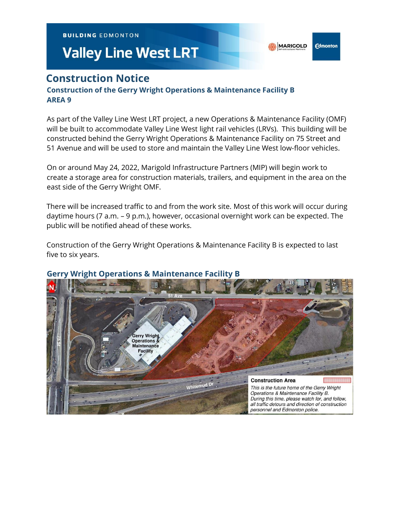**BUILDING EDMONTON** 

# **Valley Line West LRT**

**MARIGOLD** 

**Edmonton** 

# **Construction Notice**

### **Construction of the Gerry Wright Operations & Maintenance Facility B AREA 9**

As part of the Valley Line West LRT project, a new Operations & Maintenance Facility (OMF) will be built to accommodate Valley Line West light rail vehicles (LRVs). This building will be constructed behind the Gerry Wright Operations & Maintenance Facility on 75 Street and 51 Avenue and will be used to store and maintain the Valley Line West low-floor vehicles.

On or around May 24, 2022, Marigold Infrastructure Partners (MIP) will begin work to create a storage area for construction materials, trailers, and equipment in the area on the east side of the Gerry Wright OMF.

There will be increased traffic to and from the work site. Most of this work will occur during daytime hours (7 a.m. – 9 p.m.), however, occasional overnight work can be expected. The public will be notified ahead of these works.

Construction of the Gerry Wright Operations & Maintenance Facility B is expected to last five to six years.



# **Gerry Wright Operations & Maintenance Facility B**